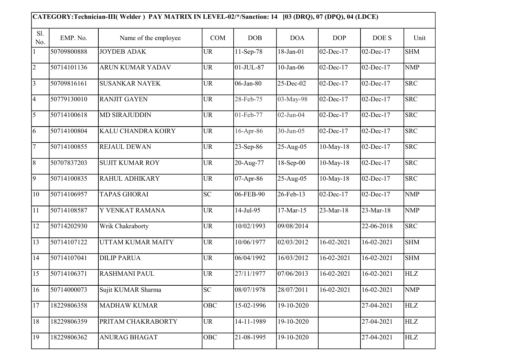| CATEGORY:Technician-III(Welder) PAY MATRIX IN LEVEL-02/*/Sanction: 14 [03 (DRQ), 07 (DPQ), 04 (LDCE) |             |                        |                                   |              |                 |                 |                         |            |  |  |  |
|------------------------------------------------------------------------------------------------------|-------------|------------------------|-----------------------------------|--------------|-----------------|-----------------|-------------------------|------------|--|--|--|
| Sl.<br>No.                                                                                           | EMP. No.    | Name of the employee   | COM                               | DOB          | <b>DOA</b>      | <b>DOP</b>      | DOE S                   | Unit       |  |  |  |
| $\mathbf{1}$                                                                                         | 50709800888 | <b>JOYDEB ADAK</b>     | <b>UR</b>                         | 11-Sep-78    | 18-Jan-01       | 02-Dec-17       | $02$ -Dec-17            | <b>SHM</b> |  |  |  |
| $ 2\rangle$                                                                                          | 50714101136 | ARUN KUMAR YADAV       | <b>UR</b>                         | $01$ -JUL-87 | $10$ -Jan- $06$ | 02-Dec-17       | 02-Dec-17               | <b>NMP</b> |  |  |  |
| $ 3\rangle$                                                                                          | 50709816161 | <b>SUSANKAR NAYEK</b>  | <b>UR</b>                         | 06-Jan-80    | 25-Dec-02       | 02-Dec-17       | 02-Dec-17               | <b>SRC</b> |  |  |  |
| $\vert 4 \vert$                                                                                      | 50779130010 | <b>RANJIT GAYEN</b>    | <b>UR</b>                         | 28-Feb-75    | 03-May-98       | 02-Dec-17       | $02$ -Dec-17            | <b>SRC</b> |  |  |  |
| $\vert 5 \vert$                                                                                      | 50714100618 | <b>MD SIRAJUDDIN</b>   | <b>UR</b>                         | 01-Feb-77    | $02-Jun-04$     | 02-Dec-17       | $02$ -Dec-17            | <b>SRC</b> |  |  |  |
| $\overline{6}$                                                                                       | 50714100804 | KALU CHANDRA KOIRY     | <b>UR</b>                         | 16-Apr-86    | 30-Jun-05       | 02-Dec-17       | 02-Dec-17               | <b>SRC</b> |  |  |  |
| 7                                                                                                    | 50714100855 | <b>REJAUL DEWAN</b>    | <b>UR</b>                         | 23-Sep-86    | $25-Aug-05$     | $10$ -May- $18$ | $02$ -Dec-17            | <b>SRC</b> |  |  |  |
| $\overline{8}$                                                                                       | 50707837203 | <b>SUJIT KUMAR ROY</b> | $\ensuremath{\mathsf{UR}}\xspace$ | 20-Aug-77    | $18-Sep-00$     | $10$ -May- $18$ | 02-Dec-17               | <b>SRC</b> |  |  |  |
| $\vert 9 \vert$                                                                                      | 50714100835 | RAHUL ADHIKARY         | <b>UR</b>                         | 07-Apr-86    | $25-Aug-05$     | $10$ -May-18    | 02-Dec-17               | <b>SRC</b> |  |  |  |
| 10                                                                                                   | 50714106957 | <b>TAPAS GHORAI</b>    | <b>SC</b>                         | 06-FEB-90    | 26-Feb-13       | 02-Dec-17       | $\overline{0}$ 2-Dec-17 | <b>NMP</b> |  |  |  |
| 11                                                                                                   | 50714108587 | Y VENKAT RAMANA        | <b>UR</b>                         | 14-Jul-95    | 17-Mar-15       | $23-Mar-18$     | 23-Mar-18               | <b>NMP</b> |  |  |  |
| <sup>12</sup>                                                                                        | 50714202930 | Wrik Chakraborty       | <b>UR</b>                         | 10/02/1993   | 09/08/2014      |                 | 22-06-2018              | <b>SRC</b> |  |  |  |
| $ 13\rangle$                                                                                         | 50714107122 | UTTAM KUMAR MAITY      | <b>UR</b>                         | 10/06/1977   | 02/03/2012      | 16-02-2021      | 16-02-2021              | <b>SHM</b> |  |  |  |
| 14                                                                                                   | 50714107041 | <b>DILIP PARUA</b>     | <b>UR</b>                         | 06/04/1992   | 16/03/2012      | 16-02-2021      | 16-02-2021              | <b>SHM</b> |  |  |  |
| $ 15\rangle$                                                                                         | 50714106371 | <b>RASHMANI PAUL</b>   | <b>UR</b>                         | 27/11/1977   | 07/06/2013      | 16-02-2021      | 16-02-2021              | <b>HLZ</b> |  |  |  |
| 16                                                                                                   | 50714000073 | Sujit KUMAR Sharma     | SC                                | 08/07/1978   | 28/07/2011      | 16-02-2021      | 16-02-2021              | <b>NMP</b> |  |  |  |
| <sup>17</sup>                                                                                        | 18229806358 | <b>MADHAW KUMAR</b>    | OBC                               | 15-02-1996   | 19-10-2020      |                 | 27-04-2021              | <b>HLZ</b> |  |  |  |
| 18                                                                                                   | 18229806359 | PRITAM CHAKRABORTY     | <b>UR</b>                         | 14-11-1989   | 19-10-2020      |                 | 27-04-2021              | <b>HLZ</b> |  |  |  |
| 19                                                                                                   | 18229806362 | <b>ANURAG BHAGAT</b>   | OBC                               | 21-08-1995   | 19-10-2020      |                 | 27-04-2021              | <b>HLZ</b> |  |  |  |